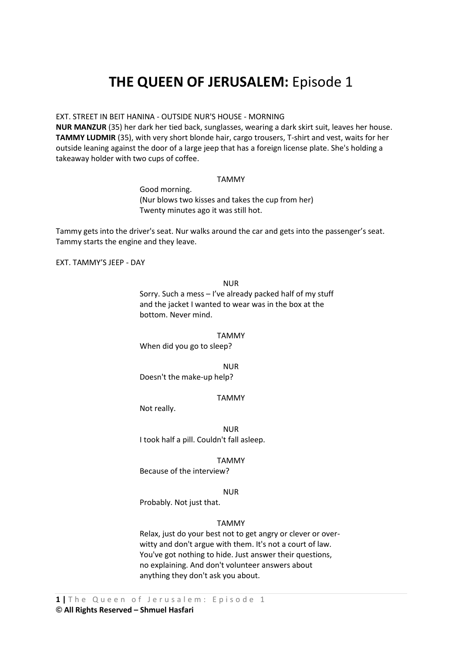# **THE QUEEN OF JERUSALEM: Episode 1**

### EXT. STREET IN BEIT HANINA - OUTSIDE NUR'S HOUSE - MORNING

**NUR MANZUR** (35) her dark her tied back, sunglasses, wearing a dark skirt suit, leaves her house. **TAMMY LUDMIR** (35), with very short blonde hair, cargo trousers, T-shirt and vest, waits for her outside leaning against the door of a large jeep that has a foreign license plate. She's holding a takeaway holder with two cups of coffee.

### TAMMY

Good morning. (Nur blows two kisses and takes the cup from her) Twenty minutes ago it was still hot.

Tammy gets into the driver's seat. Nur walks around the car and gets into the passenger's seat. Tammy starts the engine and they leave.

EXT. TAMMY'S JEEP - DAY

NUR

Sorry. Such a mess – I've already packed half of my stuff and the jacket I wanted to wear was in the box at the bottom. Never mind.

TAMMY

When did you go to sleep?

NUR

Doesn't the make-up help?

### TAMMY

Not really.

NUR I took half a pill. Couldn't fall asleep.

TAMMY

Because of the interview?

NUR

Probably. Not just that.

### TAMMY

Relax, just do your best not to get angry or clever or overwitty and don't argue with them. It's not a court of law. You've got nothing to hide. Just answer their questions, no explaining. And don't volunteer answers about anything they don't ask you about.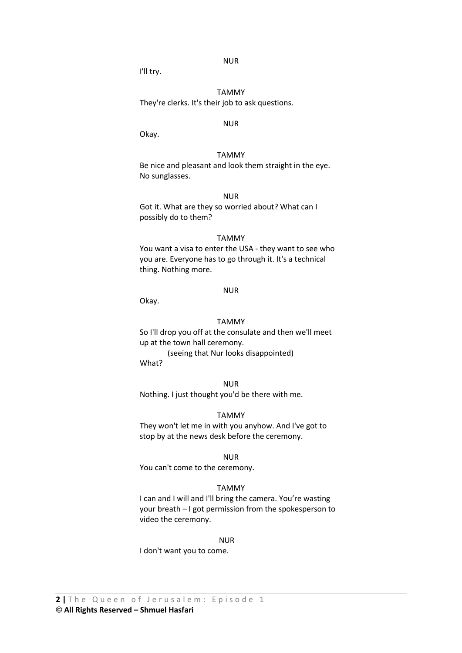#### NUR

I'll try.

TAMMY They're clerks. It's their job to ask questions.

#### NUR

Okay.

### TAMMY

Be nice and pleasant and look them straight in the eye. No sunglasses.

#### NUR

Got it. What are they so worried about? What can I possibly do to them?

#### TAMMY

You want a visa to enter the USA - they want to see who you are. Everyone has to go through it. It's a technical thing. Nothing more.

#### NUR

Okay.

#### TAMMY

So I'll drop you off at the consulate and then we'll meet up at the town hall ceremony.

(seeing that Nur looks disappointed) What?

# NUR

Nothing. I just thought you'd be there with me.

#### TAMMY

They won't let me in with you anyhow. And I've got to stop by at the news desk before the ceremony.

#### NUR

You can't come to the ceremony.

### TAMMY

I can and I will and I'll bring the camera. You're wasting your breath – I got permission from the spokesperson to video the ceremony.

### NUR

I don't want you to come.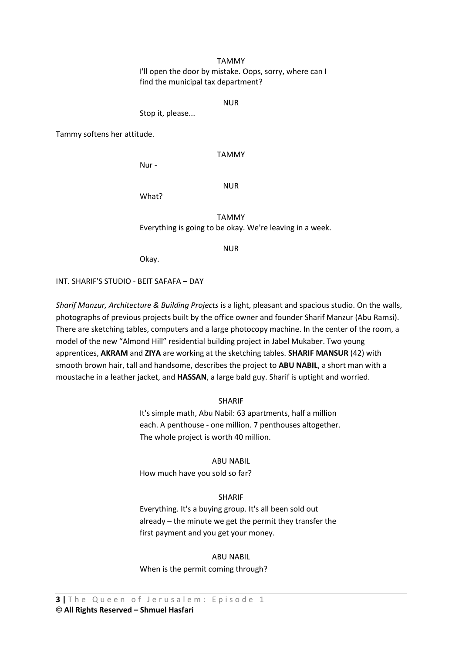TAMMY I'll open the door by mistake. Oops, sorry, where can I find the municipal tax department?

NUR

Stop it, please...

Tammy softens her attitude.

TAMMY

Nur -

NUR

What?

TAMMY Everything is going to be okay. We're leaving in a week.

#### NUR

Okay.

INT. SHARIF'S STUDIO - BEIT SAFAFA – DAY

*Sharif Manzur, Architecture & Building Projects* is a light, pleasant and spacious studio. On the walls, photographs of previous projects built by the office owner and founder Sharif Manzur (Abu Ramsi). There are sketching tables, computers and a large photocopy machine. In the center of the room, a model of the new "Almond Hill" residential building project in Jabel Mukaber. Two young apprentices, **AKRAM** and **ZIYA** are working at the sketching tables. **SHARIF MANSUR** (42) with smooth brown hair, tall and handsome, describes the project to **ABU NABIL**, a short man with a moustache in a leather jacket, and **HASSAN**, a large bald guy. Sharif is uptight and worried.

SHARIF

It's simple math, Abu Nabil: 63 apartments, half a million each. A penthouse - one million. 7 penthouses altogether. The whole project is worth 40 million.

ABU NABIL How much have you sold so far?

### SHARIF

Everything. It's a buying group. It's all been sold out already – the minute we get the permit they transfer the first payment and you get your money.

ABU NABIL

When is the permit coming through?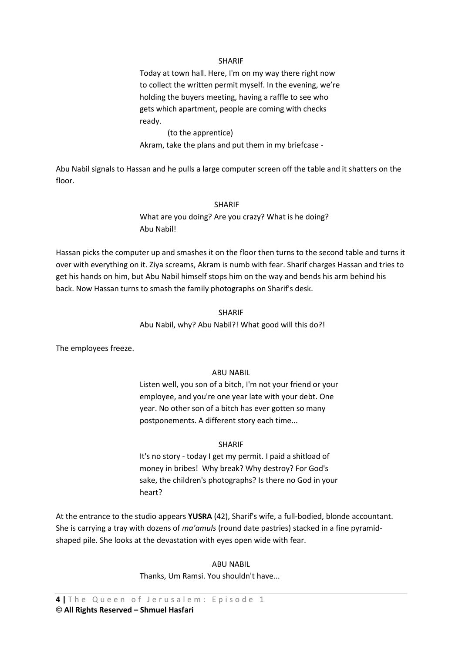### SHARIF

Today at town hall. Here, I'm on my way there right now to collect the written permit myself. In the evening, we're holding the buyers meeting, having a raffle to see who gets which apartment, people are coming with checks ready.

(to the apprentice) Akram, take the plans and put them in my briefcase -

Abu Nabil signals to Hassan and he pulls a large computer screen off the table and it shatters on the floor.

#### SHARIF

What are you doing? Are you crazy? What is he doing? Abu Nabil!

Hassan picks the computer up and smashes it on the floor then turns to the second table and turns it over with everything on it. Ziya screams, Akram is numb with fear. Sharif charges Hassan and tries to get his hands on him, but Abu Nabil himself stops him on the way and bends his arm behind his back. Now Hassan turns to smash the family photographs on Sharif's desk.

> SHARIF Abu Nabil, why? Abu Nabil?! What good will this do?!

The employees freeze.

### ABU NABIL

Listen well, you son of a bitch, I'm not your friend or your employee, and you're one year late with your debt. One year. No other son of a bitch has ever gotten so many postponements. A different story each time...

### SHARIF

It's no story - today I get my permit. I paid a shitload of money in bribes! Why break? Why destroy? For God's sake, the children's photographs? Is there no God in your heart?

At the entrance to the studio appears **YUSRA** (42), Sharif's wife, a full-bodied, blonde accountant. She is carrying a tray with dozens of *ma'amuls* (round date pastries) stacked in a fine pyramidshaped pile. She looks at the devastation with eyes open wide with fear.

### ABU NABIL

Thanks, Um Ramsi. You shouldn't have...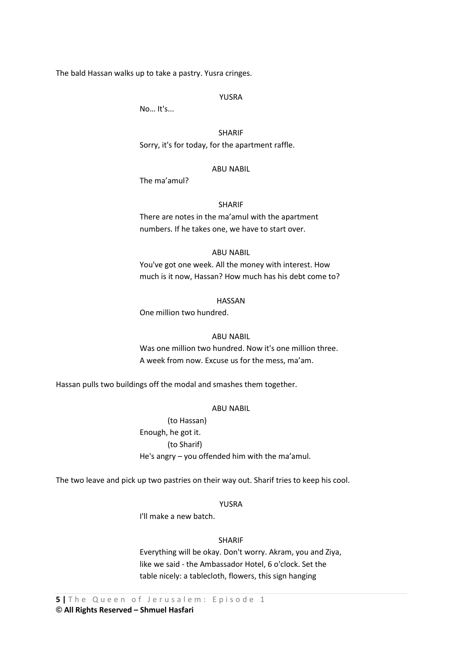The bald Hassan walks up to take a pastry. Yusra cringes.

### YUSRA

No… It's...

SHARIF Sorry, it's for today, for the apartment raffle.

### ABU NABIL

The ma'amul?

### SHARIF

There are notes in the ma'amul with the apartment numbers. If he takes one, we have to start over.

### ABU NABIL

You've got one week. All the money with interest. How much is it now, Hassan? How much has his debt come to?

HASSAN One million two hundred.

### ABU NABIL

Was one million two hundred. Now it's one million three. A week from now. Excuse us for the mess, ma'am.

Hassan pulls two buildings off the modal and smashes them together.

### ABU NABIL

 (to Hassan) Enough, he got it. (to Sharif) He's angry – you offended him with the ma'amul.

The two leave and pick up two pastries on their way out. Sharif tries to keep his cool.

### YUSRA

I'll make a new batch.

### SHARIF

Everything will be okay. Don't worry. Akram, you and Ziya, like we said - the Ambassador Hotel, 6 o'clock. Set the table nicely: a tablecloth, flowers, this sign hanging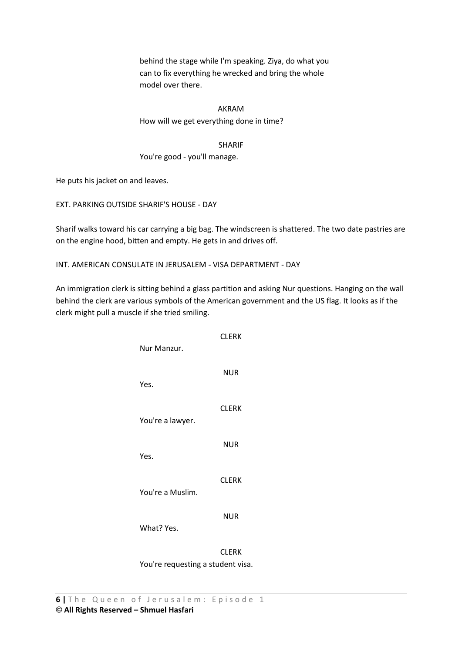behind the stage while I'm speaking. Ziya, do what you can to fix everything he wrecked and bring the whole model over there.

AKRAM How will we get everything done in time?

# SHARIF

You're good - you'll manage.

He puts his jacket on and leaves.

EXT. PARKING OUTSIDE SHARIF'S HOUSE - DAY

Sharif walks toward his car carrying a big bag. The windscreen is shattered. The two date pastries are on the engine hood, bitten and empty. He gets in and drives off.

INT. AMERICAN CONSULATE IN JERUSALEM - VISA DEPARTMENT - DAY

An immigration clerk is sitting behind a glass partition and asking Nur questions. Hanging on the wall behind the clerk are various symbols of the American government and the US flag. It looks as if the clerk might pull a muscle if she tried smiling.

| Nur Manzur.      | <b>CLERK</b> |
|------------------|--------------|
| Yes.             | <b>NUR</b>   |
| You're a lawyer. | <b>CLERK</b> |
| Yes.             | <b>NUR</b>   |
| You're a Muslim. | <b>CLERK</b> |
| What? Yes.       | <b>NUR</b>   |
|                  | <b>CLERK</b> |

You're requesting a student visa.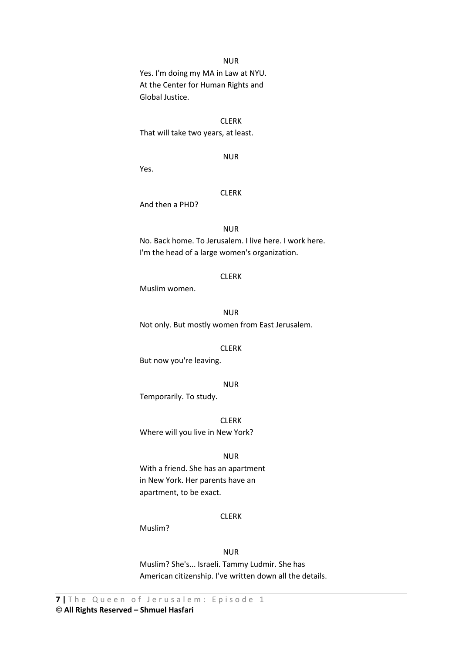### NUR

 Yes. I'm doing my MA in Law at NYU. At the Center for Human Rights and Global Justice.

CLERK That will take two years, at least.

NUR

Yes.

# CLERK

And then a PHD?

#### NUR

 No. Back home. To Jerusalem. I live here. I work here. I'm the head of a large women's organization.

### CLERK

Muslim women.

NUR Not only. But mostly women from East Jerusalem.

#### CLERK

But now you're leaving.

#### NUR

Temporarily. To study.

CLERK

Where will you live in New York?

#### NUR

 With a friend. She has an apartment in New York. Her parents have an apartment, to be exact.

### CLERK

Muslim?

#### NUR

 Muslim? She's... Israeli. Tammy Ludmir. She has American citizenship. I've written down all the details.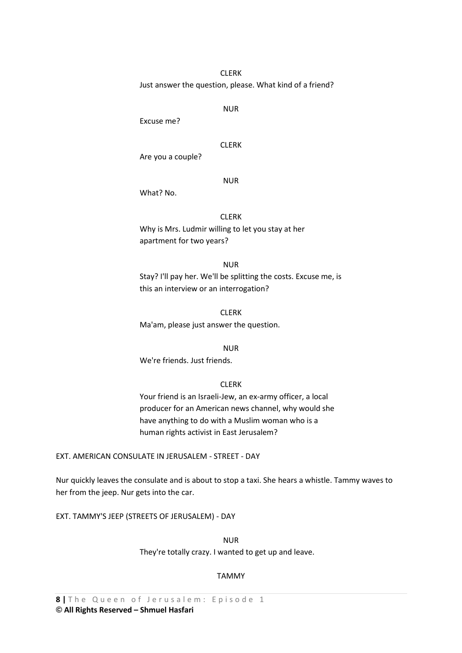### CLERK

Just answer the question, please. What kind of a friend?

### NUR

Excuse me?

### CLERK

Are you a couple?

### NUR

What? No.

# CLERK

Why is Mrs. Ludmir willing to let you stay at her apartment for two years?

### NUR

Stay? I'll pay her. We'll be splitting the costs. Excuse me, is this an interview or an interrogation?

CLERK Ma'am, please just answer the question.

### NUR

We're friends. Just friends.

### CLERK

Your friend is an Israeli-Jew, an ex-army officer, a local producer for an American news channel, why would she have anything to do with a Muslim woman who is a human rights activist in East Jerusalem?

### EXT. AMERICAN CONSULATE IN JERUSALEM - STREET - DAY

Nur quickly leaves the consulate and is about to stop a taxi. She hears a whistle. Tammy waves to her from the jeep. Nur gets into the car.

EXT. TAMMY'S JEEP (STREETS OF JERUSALEM) - DAY

NUR

They're totally crazy. I wanted to get up and leave.

### TAMMY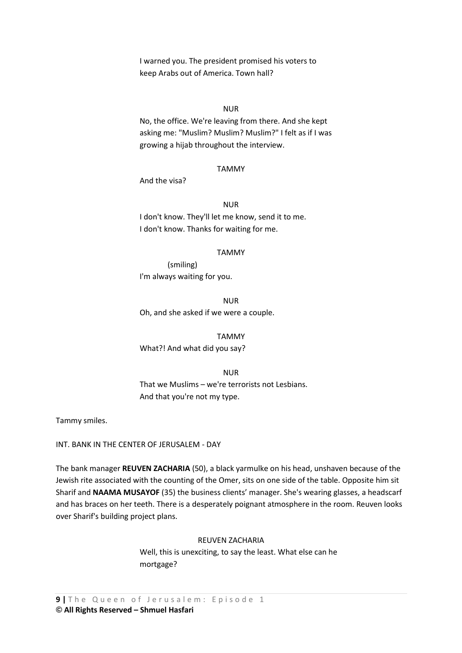I warned you. The president promised his voters to keep Arabs out of America. Town hall?

### NUR

 No, the office. We're leaving from there. And she kept asking me: "Muslim? Muslim? Muslim?" I felt as if I was growing a hijab throughout the interview.

### TAMMY

And the visa?

NUR I don't know. They'll let me know, send it to me. I don't know. Thanks for waiting for me.

#### TAMMY

 (smiling) I'm always waiting for you.

NUR Oh, and she asked if we were a couple.

TAMMY What?! And what did you say?

NUR That we Muslims – we're terrorists not Lesbians. And that you're not my type.

Tammy smiles.

INT. BANK IN THE CENTER OF JERUSALEM - DAY

The bank manager **REUVEN ZACHARIA** (50), a black yarmulke on his head, unshaven because of the Jewish rite associated with the counting of the Omer, sits on one side of the table. Opposite him sit Sharif and **NAAMA MUSAYOF** (35) the business clients' manager. She's wearing glasses, a headscarf and has braces on her teeth. There is a desperately poignant atmosphere in the room. Reuven looks over Sharif's building project plans.

> REUVEN ZACHARIA Well, this is unexciting, to say the least. What else can he mortgage?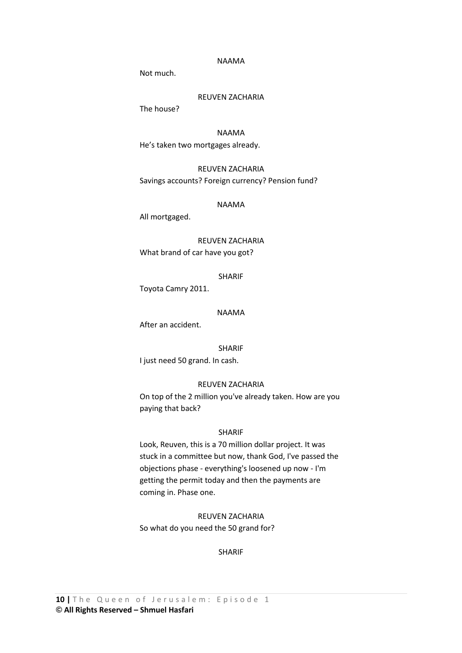#### NAAMA

Not much.

### REUVEN ZACHARIA

The house?

#### NAAMA

He's taken two mortgages already.

REUVEN ZACHARIA Savings accounts? Foreign currency? Pension fund?

#### NAAMA

All mortgaged.

REUVEN ZACHARIA What brand of car have you got?

### SHARIF

Toyota Camry 2011.

### NAAMA

After an accident.

#### SHARIF

I just need 50 grand. In cash.

#### REUVEN ZACHARIA

On top of the 2 million you've already taken. How are you paying that back?

### SHARIF

Look, Reuven, this is a 70 million dollar project. It was stuck in a committee but now, thank God, I've passed the objections phase - everything's loosened up now - I'm getting the permit today and then the payments are coming in. Phase one.

REUVEN ZACHARIA So what do you need the 50 grand for?

### SHARIF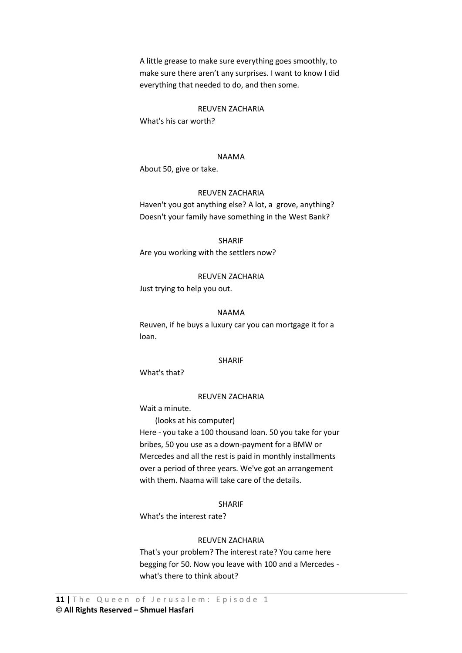A little grease to make sure everything goes smoothly, to make sure there aren't any surprises. I want to know I did everything that needed to do, and then some.

#### REUVEN ZACHARIA

What's his car worth?

### NAAMA

About 50, give or take.

## REUVEN ZACHARIA

Haven't you got anything else? A lot, a grove, anything? Doesn't your family have something in the West Bank?

#### SHARIF

Are you working with the settlers now?

REUVEN ZACHARIA

Just trying to help you out.

#### NAAMA

Reuven, if he buys a luxury car you can mortgage it for a loan.

#### SHARIF

What's that?

### REUVEN ZACHARIA

Wait a minute.

(looks at his computer)

Here - you take a 100 thousand loan. 50 you take for your bribes, 50 you use as a down-payment for a BMW or Mercedes and all the rest is paid in monthly installments over a period of three years. We've got an arrangement with them. Naama will take care of the details.

### SHARIF

What's the interest rate?

### REUVEN ZACHARIA

That's your problem? The interest rate? You came here begging for 50. Now you leave with 100 and a Mercedes what's there to think about?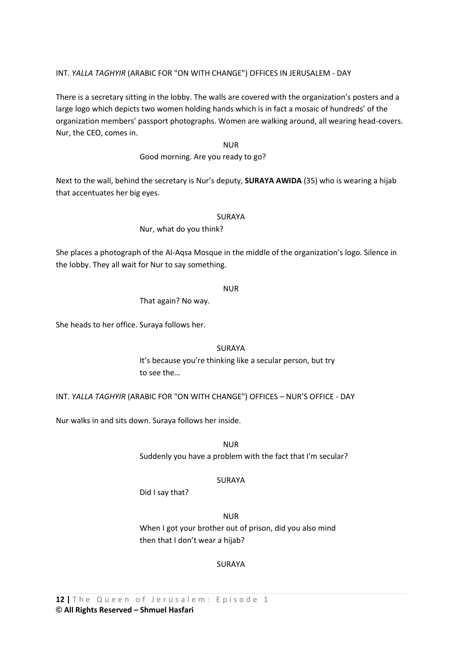INT. *YALLA TAGHYIR* (ARABIC FOR "ON WITH CHANGE") OFFICES IN JERUSALEM - DAY

There is a secretary sitting in the lobby. The walls are covered with the organization's posters and a large logo which depicts two women holding hands which is in fact a mosaic of hundreds' of the organization members' passport photographs. Women are walking around, all wearing head-covers. Nur, the CEO, comes in.

### NUR

## Good morning. Are you ready to go?

Next to the wall, behind the secretary is Nur's deputy, **SURAYA AWIDA** (35) who is wearing a hijab that accentuates her big eyes.

### SURAYA

Nur, what do you think?

She places a photograph of the Al-Aqsa Mosque in the middle of the organization's logo. Silence in the lobby. They all wait for Nur to say something.

### NUR

That again? No way.

She heads to her office. Suraya follows her.

### SURAYA

It's because you're thinking like a secular person, but try to see the…

INT. *YALLA TAGHYIR* (ARABIC FOR "ON WITH CHANGE") OFFICES – NUR'S OFFICE - DAY

Nur walks in and sits down. Suraya follows her inside.

NUR

Suddenly you have a problem with the fact that I'm secular?

### SURAYA

Did I say that?

NUR When I got your brother out of prison, did you also mind then that I don't wear a hijab?

# SURAYA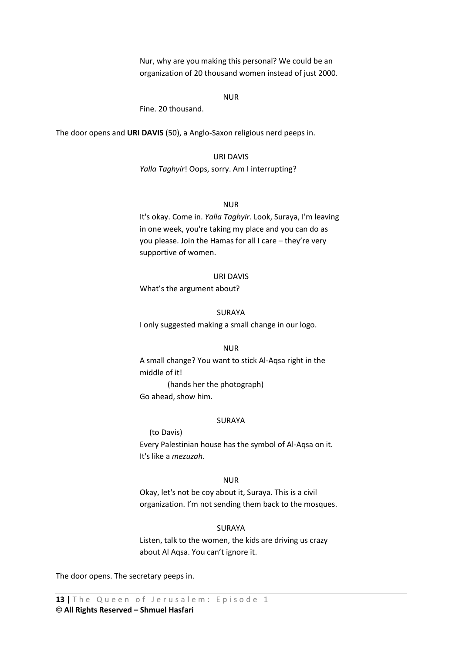Nur, why are you making this personal? We could be an organization of 20 thousand women instead of just 2000.

#### NUR

Fine. 20 thousand.

The door opens and **URI DAVIS** (50), a Anglo-Saxon religious nerd peeps in.

URI DAVIS *Yalla Taghyir*! Oops, sorry. Am I interrupting?

### NUR

It's okay. Come in. *Yalla Taghyir*. Look, Suraya, I'm leaving in one week, you're taking my place and you can do as you please. Join the Hamas for all I care – they're very supportive of women.

### URI DAVIS

What's the argument about?

#### SURAYA

I only suggested making a small change in our logo.

#### NUR

A small change? You want to stick Al-Aqsa right in the middle of it! (hands her the photograph)

Go ahead, show him.

### SURAYA

 (to Davis) Every Palestinian house has the symbol of Al-Aqsa on it. It's like a *mezuzah*.

#### NUR

Okay, let's not be coy about it, Suraya. This is a civil organization. I'm not sending them back to the mosques.

#### SURAYA

Listen, talk to the women, the kids are driving us crazy about Al Aqsa. You can't ignore it.

The door opens. The secretary peeps in.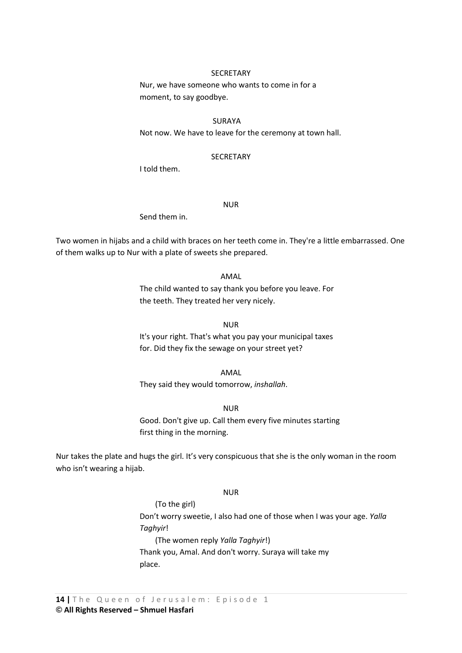### **SECRETARY**

Nur, we have someone who wants to come in for a moment, to say goodbye.

SURAYA Not now. We have to leave for the ceremony at town hall.

### **SECRETARY**

I told them.

#### NUR

Send them in.

Two women in hijabs and a child with braces on her teeth come in. They're a little embarrassed. One of them walks up to Nur with a plate of sweets she prepared.

> AMAL The child wanted to say thank you before you leave. For the teeth. They treated her very nicely.

> > NUR

It's your right. That's what you pay your municipal taxes for. Did they fix the sewage on your street yet?

AMAL

They said they would tomorrow, *inshallah*.

NUR

Good. Don't give up. Call them every five minutes starting first thing in the morning.

Nur takes the plate and hugs the girl. It's very conspicuous that she is the only woman in the room who isn't wearing a hijab.

### NUR

 (To the girl) Don't worry sweetie, I also had one of those when I was your age. *Yalla Taghyir*! (The women reply *Yalla Taghyir*!) Thank you, Amal. And don't worry. Suraya will take my place.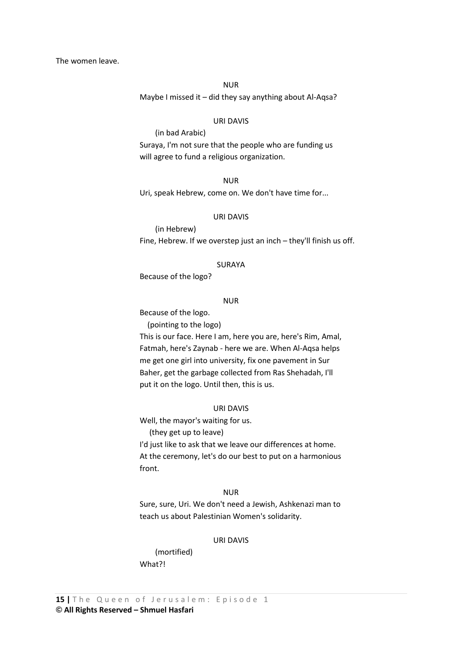The women leave.

NUR

Maybe I missed it – did they say anything about Al-Aqsa?

#### URI DAVIS

(in bad Arabic)

Suraya, I'm not sure that the people who are funding us will agree to fund a religious organization.

NUR

Uri, speak Hebrew, come on. We don't have time for...

### URI DAVIS

 (in Hebrew) Fine, Hebrew. If we overstep just an inch – they'll finish us off.

### SURAYA

Because of the logo?

### NUR

Because of the logo.

(pointing to the logo)

This is our face. Here I am, here you are, here's Rim, Amal, Fatmah, here's Zaynab - here we are. When Al-Aqsa helps me get one girl into university, fix one pavement in Sur Baher, get the garbage collected from Ras Shehadah, I'll put it on the logo. Until then, this is us.

### URI DAVIS

Well, the mayor's waiting for us.

(they get up to leave)

I'd just like to ask that we leave our differences at home. At the ceremony, let's do our best to put on a harmonious front.

#### NUR

Sure, sure, Uri. We don't need a Jewish, Ashkenazi man to teach us about Palestinian Women's solidarity.

### URI DAVIS

 (mortified) What?!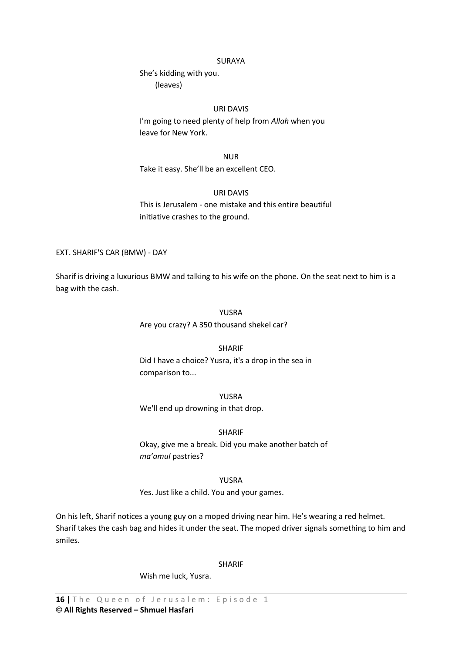### SURAYA

She's kidding with you. (leaves)

### URI DAVIS

I'm going to need plenty of help from *Allah* when you leave for New York.

NUR Take it easy. She'll be an excellent CEO.

## URI DAVIS

This is Jerusalem - one mistake and this entire beautiful initiative crashes to the ground.

EXT. SHARIF'S CAR (BMW) - DAY

Sharif is driving a luxurious BMW and talking to his wife on the phone. On the seat next to him is a bag with the cash.

### YUSRA

Are you crazy? A 350 thousand shekel car?

#### SHARIF

Did I have a choice? Yusra, it's a drop in the sea in comparison to...

YUSRA We'll end up drowning in that drop.

#### SHARIF

Okay, give me a break. Did you make another batch of *ma'amul* pastries?

### YUSRA

### Yes. Just like a child. You and your games.

On his left, Sharif notices a young guy on a moped driving near him. He's wearing a red helmet. Sharif takes the cash bag and hides it under the seat. The moped driver signals something to him and smiles.

#### SHARIF

Wish me luck, Yusra.

16 | The Queen of Jerusalem: Episode 1 **© All Rights Reserved – Shmuel Hasfari**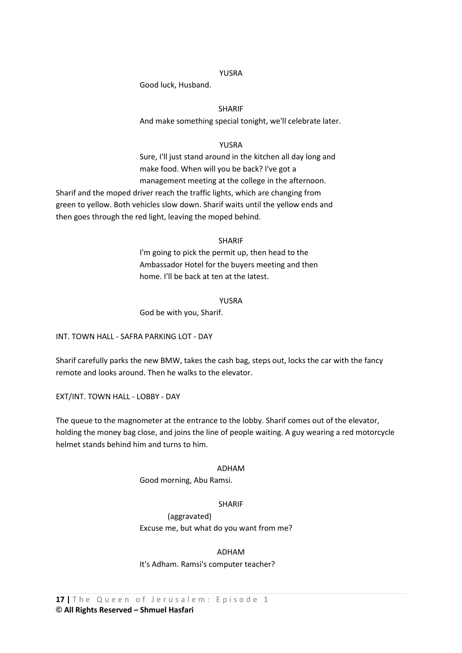### YUSRA

Good luck, Husband.

### SHARIF

And make something special tonight, we'll celebrate later.

# YUSRA

Sure, I'll just stand around in the kitchen all day long and make food. When will you be back? I've got a management meeting at the college in the afternoon.

Sharif and the moped driver reach the traffic lights, which are changing from green to yellow. Both vehicles slow down. Sharif waits until the yellow ends and then goes through the red light, leaving the moped behind.

#### SHARIF

I'm going to pick the permit up, then head to the Ambassador Hotel for the buyers meeting and then home. I'll be back at ten at the latest.

### YUSRA

God be with you, Sharif.

INT. TOWN HALL - SAFRA PARKING LOT - DAY

Sharif carefully parks the new BMW, takes the cash bag, steps out, locks the car with the fancy remote and looks around. Then he walks to the elevator.

EXT/INT. TOWN HALL - LOBBY - DAY

The queue to the magnometer at the entrance to the lobby. Sharif comes out of the elevator, holding the money bag close, and joins the line of people waiting. A guy wearing a red motorcycle helmet stands behind him and turns to him.

#### ADHAM

Good morning, Abu Ramsi.

#### SHARIF

(aggravated) Excuse me, but what do you want from me?

#### ADHAM

It's Adham. Ramsi's computer teacher?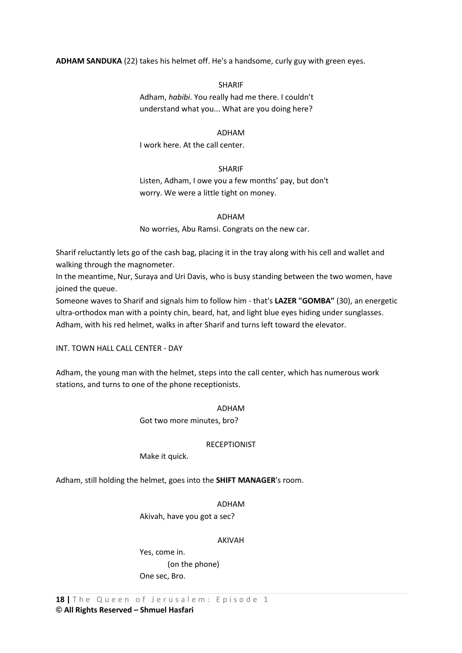### **ADHAM SANDUKA** (22) takes his helmet off. He's a handsome, curly guy with green eyes.

SHARIF Adham, *habibi*. You really had me there. I couldn't understand what you... What are you doing here?

### ADHAM

I work here. At the call center.

### SHARIF

Listen, Adham, I owe you a few months' pay, but don't worry. We were a little tight on money.

#### ADHAM

No worries, Abu Ramsi. Congrats on the new car.

Sharif reluctantly lets go of the cash bag, placing it in the tray along with his cell and wallet and walking through the magnometer.

In the meantime, Nur, Suraya and Uri Davis, who is busy standing between the two women, have joined the queue.

Someone waves to Sharif and signals him to follow him - that's **LAZER "GOMBA"** (30), an energetic ultra-orthodox man with a pointy chin, beard, hat, and light blue eyes hiding under sunglasses. Adham, with his red helmet, walks in after Sharif and turns left toward the elevator.

INT. TOWN HALL CALL CENTER - DAY

Adham, the young man with the helmet, steps into the call center, which has numerous work stations, and turns to one of the phone receptionists.

#### ADHAM

Got two more minutes, bro?

#### RECEPTIONIST

Make it quick.

Adham, still holding the helmet, goes into the **SHIFT MANAGER**'s room.

### ADHAM

Akivah, have you got a sec?

### AKIVAH

Yes, come in. (on the phone) One sec, Bro.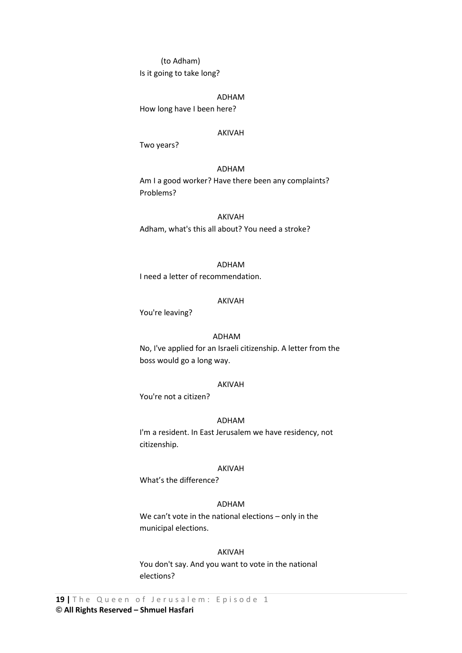(to Adham) Is it going to take long?

#### ADHAM

How long have I been here?

#### AKIVAH

Two years?

# ADHAM

Am I a good worker? Have there been any complaints? Problems?

AKIVAH Adham, what's this all about? You need a stroke?

### ADHAM

I need a letter of recommendation.

# AKIVAH

You're leaving?

### ADHAM

No, I've applied for an Israeli citizenship. A letter from the boss would go a long way.

#### AKIVAH

You're not a citizen?

### ADHAM

I'm a resident. In East Jerusalem we have residency, not citizenship.

#### AKIVAH

What's the difference?

# ADHAM

We can't vote in the national elections – only in the municipal elections.

#### AKIVAH

You don't say. And you want to vote in the national elections?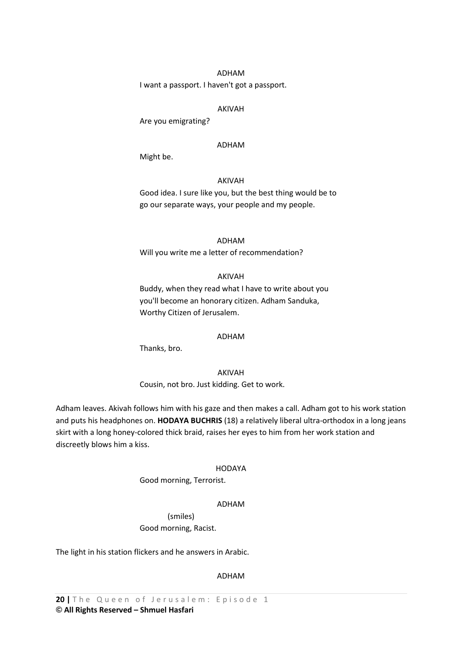ADHAM I want a passport. I haven't got a passport.

### AKIVAH

Are you emigrating?

#### ADHAM

Might be.

### AKIVAH

Good idea. I sure like you, but the best thing would be to go our separate ways, your people and my people.

### ADHAM

Will you write me a letter of recommendation?

## AKIVAH

Buddy, when they read what I have to write about you you'll become an honorary citizen. Adham Sanduka, Worthy Citizen of Jerusalem.

#### ADHAM

Thanks, bro.

AKIVAH

Cousin, not bro. Just kidding. Get to work.

Adham leaves. Akivah follows him with his gaze and then makes a call. Adham got to his work station and puts his headphones on. **HODAYA BUCHRIS** (18) a relatively liberal ultra-orthodox in a long jeans skirt with a long honey-colored thick braid, raises her eyes to him from her work station and discreetly blows him a kiss.

### HODAYA

Good morning, Terrorist.

### ADHAM

(smiles) Good morning, Racist.

The light in his station flickers and he answers in Arabic.

### ADHAM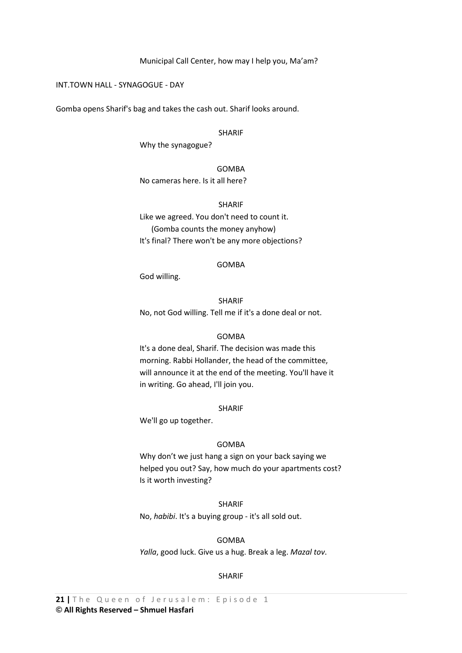Municipal Call Center, how may I help you, Ma'am?

INT.TOWN HALL - SYNAGOGUE - DAY

Gomba opens Sharif's bag and takes the cash out. Sharif looks around.

#### SHARIF

Why the synagogue?

GOMBA No cameras here. Is it all here?

SHARIF

Like we agreed. You don't need to count it. (Gomba counts the money anyhow) It's final? There won't be any more objections?

#### GOMBA

God willing.

SHARIF No, not God willing. Tell me if it's a done deal or not.

#### GOMBA

It's a done deal, Sharif. The decision was made this morning. Rabbi Hollander, the head of the committee, will announce it at the end of the meeting. You'll have it in writing. Go ahead, I'll join you.

SHARIF

We'll go up together.

#### GOMBA

Why don't we just hang a sign on your back saying we helped you out? Say, how much do your apartments cost? Is it worth investing?

SHARIF

No, *habibi*. It's a buying group - it's all sold out.

GOMBA *Yalla*, good luck. Give us a hug. Break a leg. *Mazal tov*.

#### SHARIF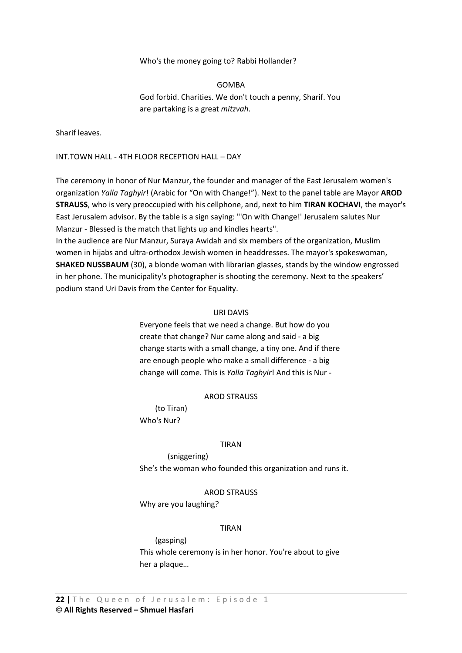### Who's the money going to? Rabbi Hollander?

GOMBA God forbid. Charities. We don't touch a penny, Sharif. You are partaking is a great *mitzvah*.

Sharif leaves.

### INT.TOWN HALL - 4TH FLOOR RECEPTION HALL – DAY

The ceremony in honor of Nur Manzur, the founder and manager of the East Jerusalem women's organization *Yalla Taghyir*! (Arabic for "On with Change!"). Next to the panel table are Mayor **AROD STRAUSS**, who is very preoccupied with his cellphone, and, next to him **TIRAN KOCHAVI**, the mayor's East Jerusalem advisor. By the table is a sign saying: "'On with Change!' Jerusalem salutes Nur Manzur - Blessed is the match that lights up and kindles hearts".

In the audience are Nur Manzur, Suraya Awidah and six members of the organization, Muslim women in hijabs and ultra-orthodox Jewish women in headdresses. The mayor's spokeswoman, **SHAKED NUSSBAUM** (30), a blonde woman with librarian glasses, stands by the window engrossed in her phone. The municipality's photographer is shooting the ceremony. Next to the speakers' podium stand Uri Davis from the Center for Equality.

#### URI DAVIS

Everyone feels that we need a change. But how do you create that change? Nur came along and said - a big change starts with a small change, a tiny one. And if there are enough people who make a small difference - a big change will come. This is *Yalla Taghyir*! And this is Nur -

#### AROD STRAUSS

 (to Tiran) Who's Nur?

#### TIRAN

(sniggering) She's the woman who founded this organization and runs it.

#### AROD STRAUSS

Why are you laughing?

#### TIRAN

 (gasping) This whole ceremony is in her honor. You're about to give her a plaque…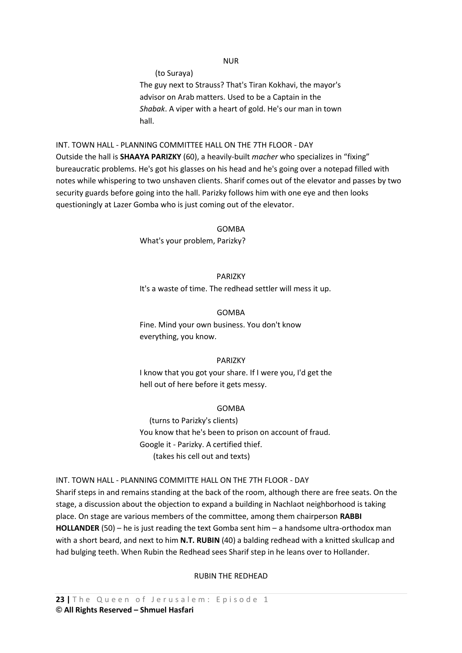#### NUR

The guy next to Strauss? That's Tiran Kokhavi, the mayor's advisor on Arab matters. Used to be a Captain in the *Shabak*. A viper with a heart of gold. He's our man in town hall.

INT. TOWN HALL - PLANNING COMMITTEE HALL ON THE 7TH FLOOR - DAY Outside the hall is **SHAAYA PARIZKY** (60), a heavily-built *macher* who specializes in "fixing" bureaucratic problems. He's got his glasses on his head and he's going over a notepad filled with notes while whispering to two unshaven clients. Sharif comes out of the elevator and passes by two security guards before going into the hall. Parizky follows him with one eye and then looks questioningly at Lazer Gomba who is just coming out of the elevator.

GOMBA

What's your problem, Parizky?

(to Suraya)

PARIZKY It's a waste of time. The redhead settler will mess it up.

### **GOMBA**

Fine. Mind your own business. You don't know everything, you know.

#### PARIZKY

I know that you got your share. If I were you, I'd get the hell out of here before it gets messy.

#### GOMBA

 (turns to Parizky's clients) You know that he's been to prison on account of fraud. Google it - Parizky. A certified thief. (takes his cell out and texts)

INT. TOWN HALL - PLANNING COMMITTE HALL ON THE 7TH FLOOR - DAY

Sharif steps in and remains standing at the back of the room, although there are free seats. On the stage, a discussion about the objection to expand a building in Nachlaot neighborhood is taking place. On stage are various members of the committee, among them chairperson **RABBI HOLLANDER** (50) – he is just reading the text Gomba sent him – a handsome ultra-orthodox man with a short beard, and next to him **N.T. RUBIN** (40) a balding redhead with a knitted skullcap and had bulging teeth. When Rubin the Redhead sees Sharif step in he leans over to Hollander.

#### RUBIN THE REDHEAD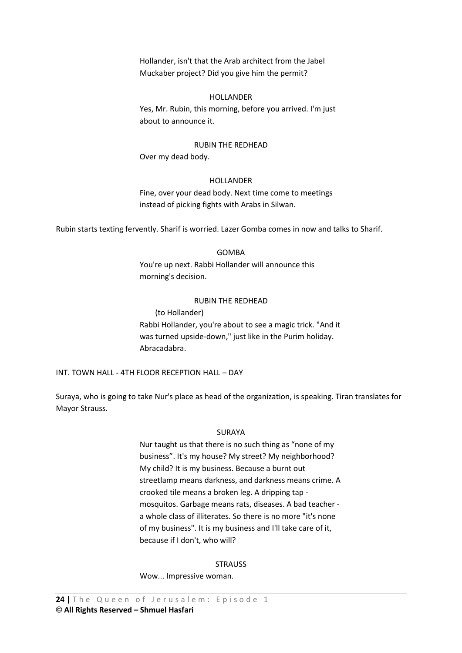Hollander, isn't that the Arab architect from the Jabel Muckaber project? Did you give him the permit?

### HOLLANDER

Yes, Mr. Rubin, this morning, before you arrived. I'm just about to announce it.

#### RUBIN THE REDHEAD

Over my dead body.

#### HOLLANDER

Fine, over your dead body. Next time come to meetings instead of picking fights with Arabs in Silwan.

Rubin starts texting fervently. Sharif is worried. Lazer Gomba comes in now and talks to Sharif.

#### GOMBA

You're up next. Rabbi Hollander will announce this morning's decision.

### RUBIN THE REDHEAD

(to Hollander)

Rabbi Hollander, you're about to see a magic trick. "And it was turned upside-down," just like in the Purim holiday. Abracadabra.

INT. TOWN HALL - 4TH FLOOR RECEPTION HALL – DAY

Suraya, who is going to take Nur's place as head of the organization, is speaking. Tiran translates for Mayor Strauss.

#### SURAYA

Nur taught us that there is no such thing as "none of my business". It's my house? My street? My neighborhood? My child? It is my business. Because a burnt out streetlamp means darkness, and darkness means crime. A crooked tile means a broken leg. A dripping tap mosquitos. Garbage means rats, diseases. A bad teacher a whole class of illiterates. So there is no more "it's none of my business". It is my business and I'll take care of it, because if I don't, who will?

#### **STRAUSS**

Wow... Impressive woman.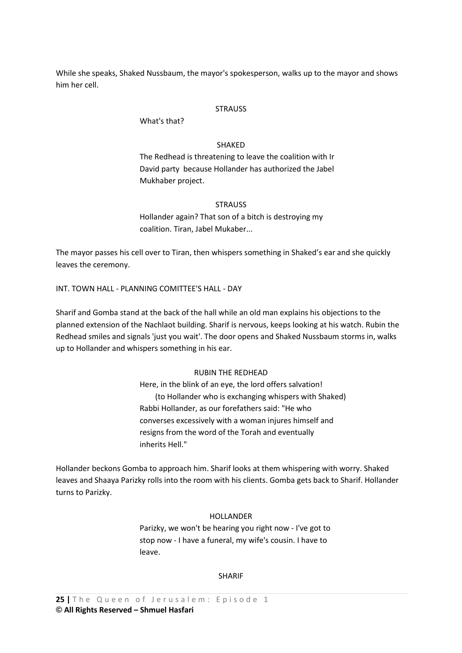While she speaks, Shaked Nussbaum, the mayor's spokesperson, walks up to the mayor and shows him her cell.

#### **STRAUSS**

What's that?

### SHAKED

The Redhead is threatening to leave the coalition with Ir David party because Hollander has authorized the Jabel Mukhaber project.

#### **STRAUSS**

Hollander again? That son of a bitch is destroying my coalition. Tiran, Jabel Mukaber...

The mayor passes his cell over to Tiran, then whispers something in Shaked's ear and she quickly leaves the ceremony.

INT. TOWN HALL - PLANNING COMITTEE'S HALL - DAY

Sharif and Gomba stand at the back of the hall while an old man explains his objections to the planned extension of the Nachlaot building. Sharif is nervous, keeps looking at his watch. Rubin the Redhead smiles and signals 'just you wait'. The door opens and Shaked Nussbaum storms in, walks up to Hollander and whispers something in his ear.

#### RUBIN THE REDHEAD

Here, in the blink of an eye, the lord offers salvation! (to Hollander who is exchanging whispers with Shaked) Rabbi Hollander, as our forefathers said: "He who converses excessively with a woman injures himself and resigns from the word of the Torah and eventually inherits Hell."

Hollander beckons Gomba to approach him. Sharif looks at them whispering with worry. Shaked leaves and Shaaya Parizky rolls into the room with his clients. Gomba gets back to Sharif. Hollander turns to Parizky.

### HOLLANDER

Parizky, we won't be hearing you right now - I've got to stop now - I have a funeral, my wife's cousin. I have to leave.

#### SHARIF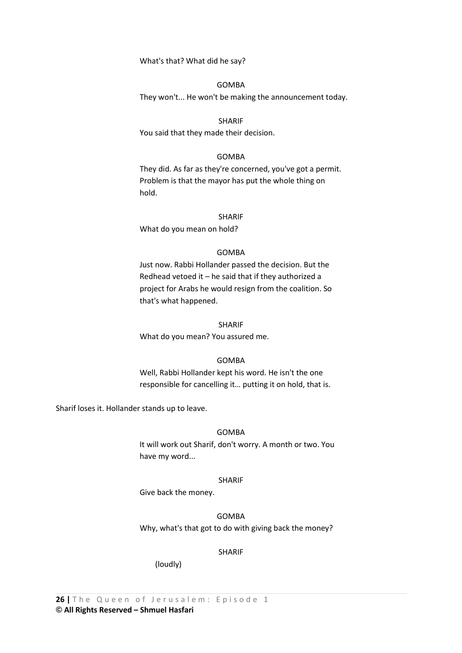#### What's that? What did he say?

### GOMBA

They won't... He won't be making the announcement today.

#### SHARIF

You said that they made their decision.

### GOMBA

They did. As far as they're concerned, you've got a permit. Problem is that the mayor has put the whole thing on hold.

SHARIF

What do you mean on hold?

#### GOMBA

Just now. Rabbi Hollander passed the decision. But the Redhead vetoed it – he said that if they authorized a project for Arabs he would resign from the coalition. So that's what happened.

#### SHARIF

What do you mean? You assured me.

### GOMBA

Well, Rabbi Hollander kept his word. He isn't the one responsible for cancelling it… putting it on hold, that is.

Sharif loses it. Hollander stands up to leave.

#### GOMBA

It will work out Sharif, don't worry. A month or two. You have my word...

#### SHARIF

Give back the money.

GOMBA Why, what's that got to do with giving back the money?

#### SHARIF

(loudly)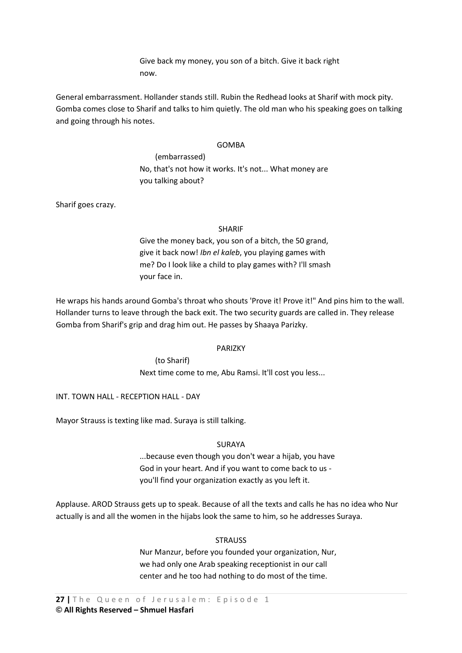Give back my money, you son of a bitch. Give it back right now.

General embarrassment. Hollander stands still. Rubin the Redhead looks at Sharif with mock pity. Gomba comes close to Sharif and talks to him quietly. The old man who his speaking goes on talking and going through his notes.

### GOMBA

 (embarrassed) No, that's not how it works. It's not... What money are you talking about?

Sharif goes crazy.

# SHARIF

Give the money back, you son of a bitch, the 50 grand, give it back now! *Ibn el kaleb*, you playing games with me? Do I look like a child to play games with? I'll smash your face in.

He wraps his hands around Gomba's throat who shouts 'Prove it! Prove it!" And pins him to the wall. Hollander turns to leave through the back exit. The two security guards are called in. They release Gomba from Sharif's grip and drag him out. He passes by Shaaya Parizky.

### PARIZKY

 (to Sharif) Next time come to me, Abu Ramsi. It'll cost you less...

# INT. TOWN HALL - RECEPTION HALL - DAY

Mayor Strauss is texting like mad. Suraya is still talking.

# SURAYA

...because even though you don't wear a hijab, you have God in your heart. And if you want to come back to us you'll find your organization exactly as you left it.

Applause. AROD Strauss gets up to speak. Because of all the texts and calls he has no idea who Nur actually is and all the women in the hijabs look the same to him, so he addresses Suraya.

# **STRAUSS**

Nur Manzur, before you founded your organization, Nur, we had only one Arab speaking receptionist in our call center and he too had nothing to do most of the time.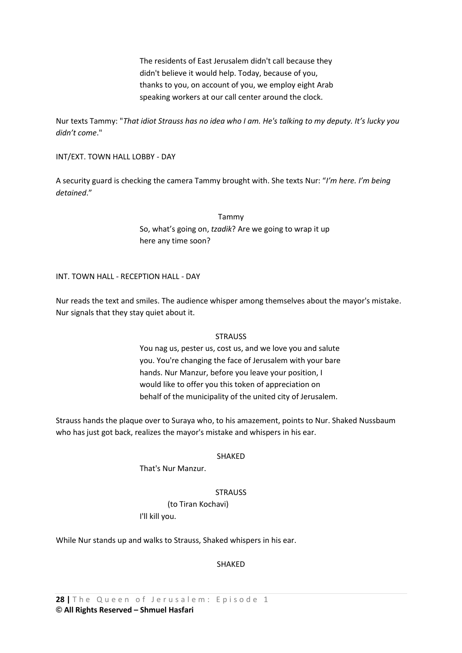The residents of East Jerusalem didn't call because they didn't believe it would help. Today, because of you, thanks to you, on account of you, we employ eight Arab speaking workers at our call center around the clock.

Nur texts Tammy: "*That idiot Strauss has no idea who I am. He's talking to my deputy. It's lucky you didn't come*."

### INT/EXT. TOWN HALL LOBBY - DAY

A security guard is checking the camera Tammy brought with. She texts Nur: "*I'm here. I'm being detained*."

> Tammy So, what's going on, *tzadik*? Are we going to wrap it up here any time soon?

### INT. TOWN HALL - RECEPTION HALL - DAY

Nur reads the text and smiles. The audience whisper among themselves about the mayor's mistake. Nur signals that they stay quiet about it.

### **STRAUSS**

You nag us, pester us, cost us, and we love you and salute you. You're changing the face of Jerusalem with your bare hands. Nur Manzur, before you leave your position, I would like to offer you this token of appreciation on behalf of the municipality of the united city of Jerusalem.

Strauss hands the plaque over to Suraya who, to his amazement, points to Nur. Shaked Nussbaum who has just got back, realizes the mayor's mistake and whispers in his ear.

### SHAKED

That's Nur Manzur.

### **STRAUSS**

 (to Tiran Kochavi) I'll kill you.

While Nur stands up and walks to Strauss, Shaked whispers in his ear.

# SHAKED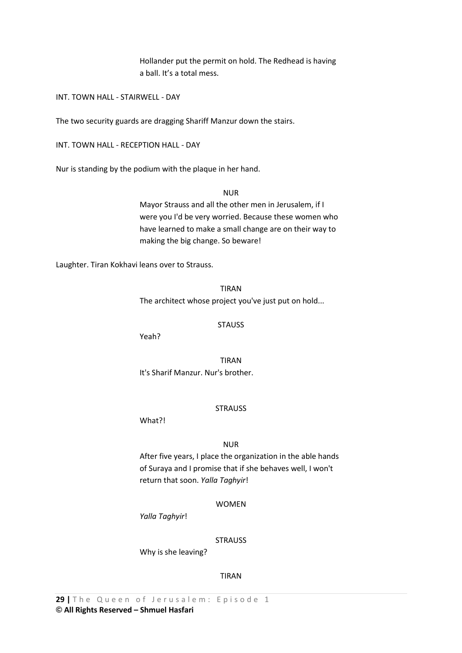Hollander put the permit on hold. The Redhead is having a ball. It's a total mess.

INT. TOWN HALL - STAIRWELL - DAY

The two security guards are dragging Shariff Manzur down the stairs.

INT. TOWN HALL - RECEPTION HALL - DAY

Nur is standing by the podium with the plaque in her hand.

NUR

Mayor Strauss and all the other men in Jerusalem, if I were you I'd be very worried. Because these women who have learned to make a small change are on their way to making the big change. So beware!

Laughter. Tiran Kokhavi leans over to Strauss.

TIRAN The architect whose project you've just put on hold...

**STAUSS** 

Yeah?

TIRAN It's Sharif Manzur. Nur's brother.

### **STRAUSS**

What?!

### NUR

After five years, I place the organization in the able hands of Suraya and I promise that if she behaves well, I won't return that soon. *Yalla Taghyir*!

WOMEN

*Yalla Taghyir*!

**STRAUSS** 

Why is she leaving?

### TIRAN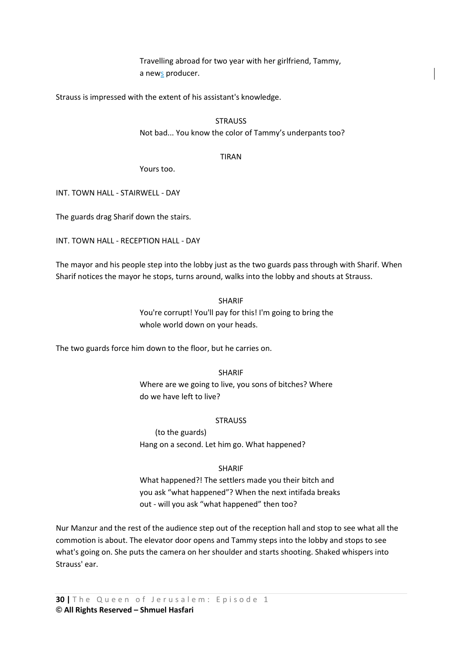Travelling abroad for two year with her girlfriend, Tammy, a news producer.

Strauss is impressed with the extent of his assistant's knowledge.

## **STRAUSS**

Not bad... You know the color of Tammy's underpants too?

### TIRAN

Yours too.

INT. TOWN HALL - STAIRWELL - DAY

The guards drag Sharif down the stairs.

INT. TOWN HALL - RECEPTION HALL - DAY

The mayor and his people step into the lobby just as the two guards pass through with Sharif. When Sharif notices the mayor he stops, turns around, walks into the lobby and shouts at Strauss.

> SHARIF You're corrupt! You'll pay for this! I'm going to bring the whole world down on your heads.

The two guards force him down to the floor, but he carries on.

SHARIF Where are we going to live, you sons of bitches? Where do we have left to live?

### **STRAUSS**

 (to the guards) Hang on a second. Let him go. What happened?

# SHARIF

What happened?! The settlers made you their bitch and you ask "what happened"? When the next intifada breaks out - will you ask "what happened" then too?

Nur Manzur and the rest of the audience step out of the reception hall and stop to see what all the commotion is about. The elevator door opens and Tammy steps into the lobby and stops to see what's going on. She puts the camera on her shoulder and starts shooting. Shaked whispers into Strauss' ear.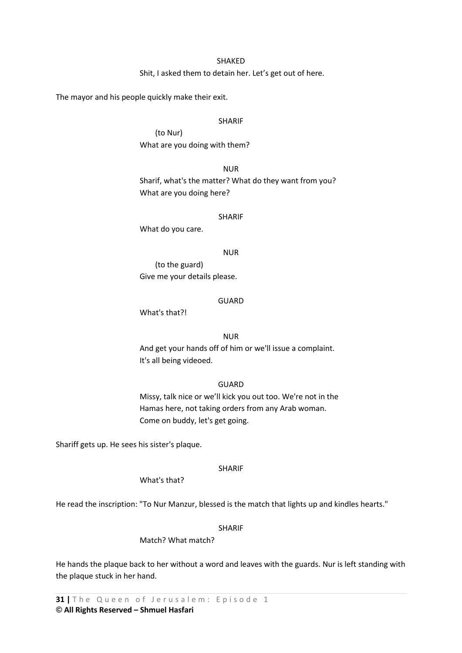### SHAKED

Shit, I asked them to detain her. Let's get out of here.

The mayor and his people quickly make their exit.

#### SHARIF

 (to Nur) What are you doing with them?

NUR Sharif, what's the matter? What do they want from you? What are you doing here?

### SHARIF

What do you care.

#### NUR

 (to the guard) Give me your details please.

# GUARD

What's that?!

### NUR

And get your hands off of him or we'll issue a complaint. It's all being videoed.

### GUARD

Missy, talk nice or we'll kick you out too. We're not in the Hamas here, not taking orders from any Arab woman. Come on buddy, let's get going.

Shariff gets up. He sees his sister's plaque.

#### SHARIF

What's that?

He read the inscription: "To Nur Manzur, blessed is the match that lights up and kindles hearts."

#### SHARIF

### Match? What match?

He hands the plaque back to her without a word and leaves with the guards. Nur is left standing with the plaque stuck in her hand.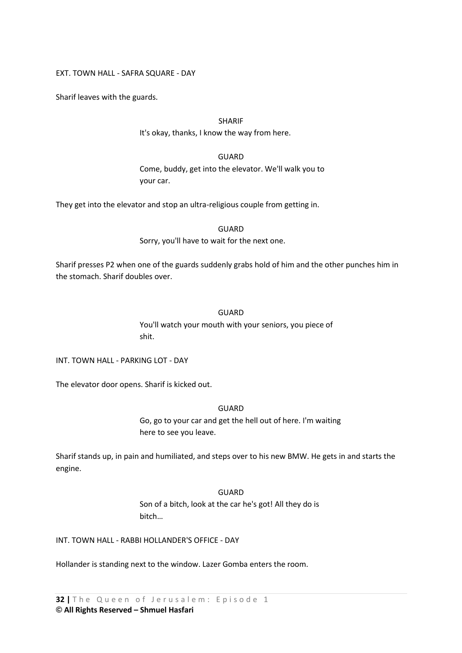### EXT. TOWN HALL - SAFRA SQUARE - DAY

Sharif leaves with the guards.

SHARIF

It's okay, thanks, I know the way from here.

GUARD

Come, buddy, get into the elevator. We'll walk you to your car.

They get into the elevator and stop an ultra-religious couple from getting in.

GUARD

Sorry, you'll have to wait for the next one.

Sharif presses P2 when one of the guards suddenly grabs hold of him and the other punches him in the stomach. Sharif doubles over.

### GUARD

You'll watch your mouth with your seniors, you piece of shit.

INT. TOWN HALL - PARKING LOT - DAY

The elevator door opens. Sharif is kicked out.

GUARD

Go, go to your car and get the hell out of here. I'm waiting here to see you leave.

Sharif stands up, in pain and humiliated, and steps over to his new BMW. He gets in and starts the engine.

### GUARD

Son of a bitch, look at the car he's got! All they do is bitch…

INT. TOWN HALL - RABBI HOLLANDER'S OFFICE - DAY

Hollander is standing next to the window. Lazer Gomba enters the room.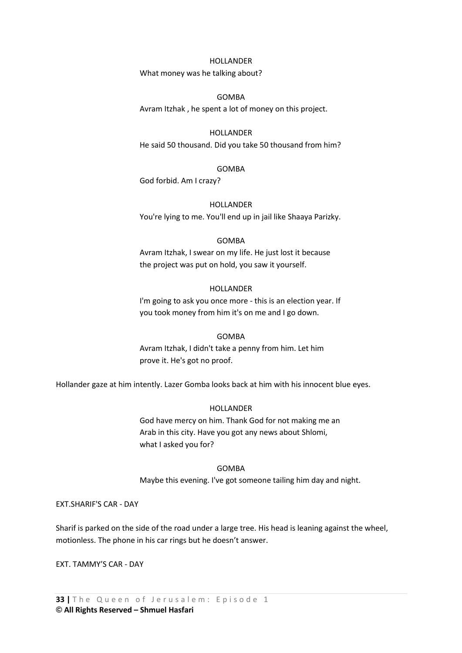### HOLLANDER

### What money was he talking about?

GOMBA Avram Itzhak , he spent a lot of money on this project.

### HOLLANDER

He said 50 thousand. Did you take 50 thousand from him?

# GOMBA

God forbid. Am I crazy?

# HOLLANDER

You're lying to me. You'll end up in jail like Shaaya Parizky.

### GOMBA

Avram Itzhak, I swear on my life. He just lost it because the project was put on hold, you saw it yourself.

# HOLLANDER

I'm going to ask you once more - this is an election year. If you took money from him it's on me and I go down.

### GOMBA

Avram Itzhak, I didn't take a penny from him. Let him prove it. He's got no proof.

Hollander gaze at him intently. Lazer Gomba looks back at him with his innocent blue eyes.

### HOLLANDER

God have mercy on him. Thank God for not making me an Arab in this city. Have you got any news about Shlomi, what I asked you for?

### GOMBA

Maybe this evening. I've got someone tailing him day and night.

### EXT.SHARIF'S CAR - DAY

Sharif is parked on the side of the road under a large tree. His head is leaning against the wheel, motionless. The phone in his car rings but he doesn't answer.

EXT. TAMMY'S CAR - DAY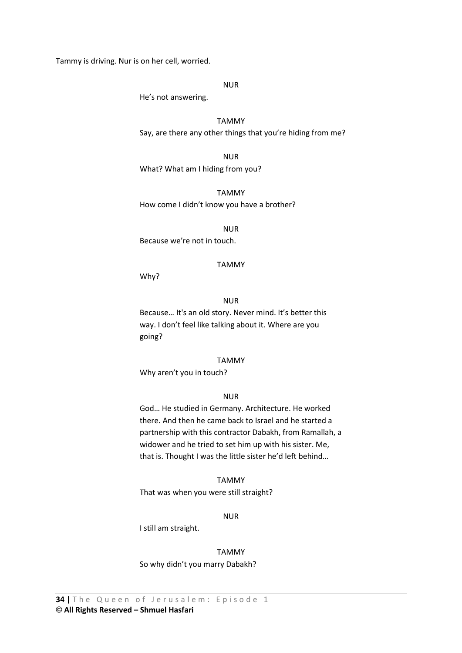Tammy is driving. Nur is on her cell, worried.

NUR

He's not answering.

TAMMY Say, are there any other things that you're hiding from me?

NUR What? What am I hiding from you?

TAMMY How come I didn't know you have a brother?

NUR Because we're not in touch.

### TAMMY

Why?

# NUR

Because… It's an old story. Never mind. It's better this way. I don't feel like talking about it. Where are you going?

#### TAMMY

Why aren't you in touch?

# NUR

God… He studied in Germany. Architecture. He worked there. And then he came back to Israel and he started a partnership with this contractor Dabakh, from Ramallah, a widower and he tried to set him up with his sister. Me, that is. Thought I was the little sister he'd left behind…

TAMMY That was when you were still straight?

NUR

I still am straight.

TAMMY So why didn't you marry Dabakh?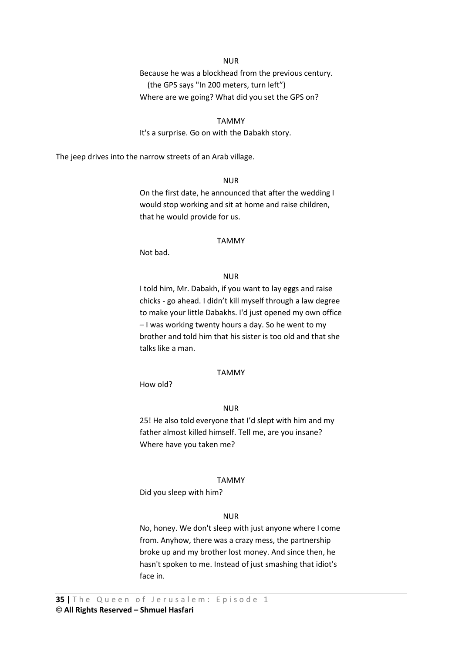### NUR

 Because he was a blockhead from the previous century. (the GPS says "In 200 meters, turn left") Where are we going? What did you set the GPS on?

#### TAMMY

It's a surprise. Go on with the Dabakh story.

The jeep drives into the narrow streets of an Arab village.

### NUR

On the first date, he announced that after the wedding I would stop working and sit at home and raise children, that he would provide for us.

#### TAMMY

Not bad.

### NUR

I told him, Mr. Dabakh, if you want to lay eggs and raise chicks - go ahead. I didn't kill myself through a law degree to make your little Dabakhs. I'd just opened my own office – I was working twenty hours a day. So he went to my brother and told him that his sister is too old and that she talks like a man.

#### TAMMY

How old?

### NUR

25! He also told everyone that I'd slept with him and my father almost killed himself. Tell me, are you insane? Where have you taken me?

### TAMMY

Did you sleep with him?

### NUR

No, honey. We don't sleep with just anyone where I come from. Anyhow, there was a crazy mess, the partnership broke up and my brother lost money. And since then, he hasn't spoken to me. Instead of just smashing that idiot's face in.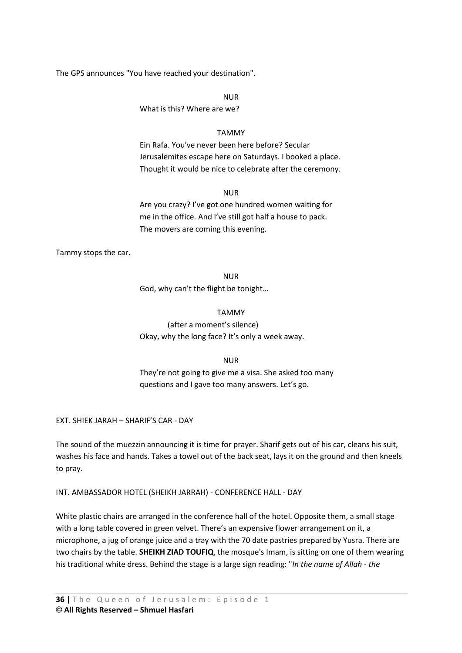The GPS announces "You have reached your destination".

NUR What is this? Where are we?

## TAMMY

Ein Rafa. You've never been here before? Secular Jerusalemites escape here on Saturdays. I booked a place. Thought it would be nice to celebrate after the ceremony.

NUR

Are you crazy? I've got one hundred women waiting for me in the office. And I've still got half a house to pack. The movers are coming this evening.

Tammy stops the car.

NUR God, why can't the flight be tonight…

# TAMMY

(after a moment's silence) Okay, why the long face? It's only a week away.

NUR

They're not going to give me a visa. She asked too many questions and I gave too many answers. Let's go.

EXT. SHIEK JARAH – SHARIF'S CAR - DAY

The sound of the muezzin announcing it is time for prayer. Sharif gets out of his car, cleans his suit, washes his face and hands. Takes a towel out of the back seat, lays it on the ground and then kneels to pray.

INT. AMBASSADOR HOTEL (SHEIKH JARRAH) - CONFERENCE HALL - DAY

White plastic chairs are arranged in the conference hall of the hotel. Opposite them, a small stage with a long table covered in green velvet. There's an expensive flower arrangement on it, a microphone, a jug of orange juice and a tray with the 70 date pastries prepared by Yusra. There are two chairs by the table. **SHEIKH ZIAD TOUFIQ**, the mosque's Imam, is sitting on one of them wearing his traditional white dress. Behind the stage is a large sign reading: "*In the name of Allah - the*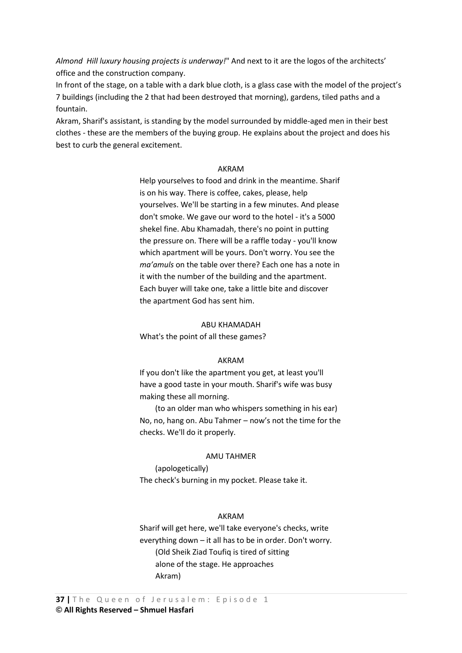*Almond Hill luxury housing projects is underway!*" And next to it are the logos of the architects' office and the construction company.

In front of the stage, on a table with a dark blue cloth, is a glass case with the model of the project's 7 buildings (including the 2 that had been destroyed that morning), gardens, tiled paths and a fountain.

Akram, Sharif's assistant, is standing by the model surrounded by middle-aged men in their best clothes - these are the members of the buying group. He explains about the project and does his best to curb the general excitement.

### AKRAM

Help yourselves to food and drink in the meantime. Sharif is on his way. There is coffee, cakes, please, help yourselves. We'll be starting in a few minutes. And please don't smoke. We gave our word to the hotel - it's a 5000 shekel fine. Abu Khamadah, there's no point in putting the pressure on. There will be a raffle today - you'll know which apartment will be yours. Don't worry. You see the *ma'amuls* on the table over there? Each one has a note in it with the number of the building and the apartment. Each buyer will take one, take a little bite and discover the apartment God has sent him.

#### ABU KHAMADAH

What's the point of all these games?

#### AKRAM

If you don't like the apartment you get, at least you'll have a good taste in your mouth. Sharif's wife was busy making these all morning.

 (to an older man who whispers something in his ear) No, no, hang on. Abu Tahmer – now's not the time for the checks. We'll do it properly.

#### AMU TAHMER

 (apologetically) The check's burning in my pocket. Please take it.

### AKRAM

Sharif will get here, we'll take everyone's checks, write everything down – it all has to be in order. Don't worry. (Old Sheik Ziad Toufiq is tired of sitting alone of the stage. He approaches Akram)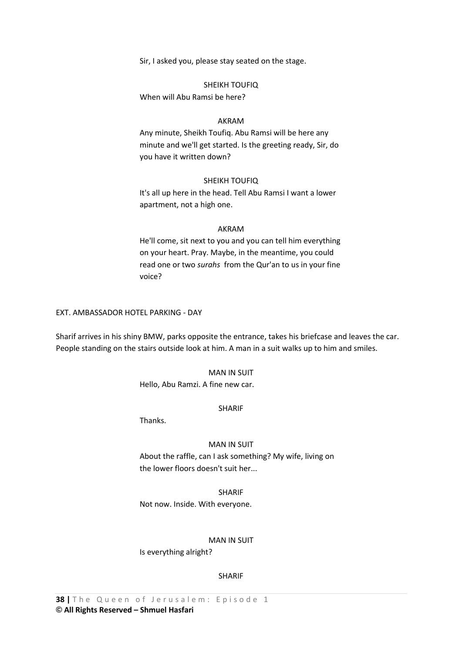Sir, I asked you, please stay seated on the stage.

SHEIKH TOUFIQ

When will Abu Ramsi be here?

### AKRAM

Any minute, Sheikh Toufiq. Abu Ramsi will be here any minute and we'll get started. Is the greeting ready, Sir, do you have it written down?

### SHEIKH TOUFIQ

It's all up here in the head. Tell Abu Ramsi I want a lower apartment, not a high one.

### AKRAM

He'll come, sit next to you and you can tell him everything on your heart. Pray. Maybe, in the meantime, you could read one or two *surahs* from the Qur'an to us in your fine voice?

EXT. AMBASSADOR HOTEL PARKING - DAY

Sharif arrives in his shiny BMW, parks opposite the entrance, takes his briefcase and leaves the car. People standing on the stairs outside look at him. A man in a suit walks up to him and smiles.

### MAN IN SUIT

Hello, Abu Ramzi. A fine new car.

### SHARIF

Thanks.

### MAN IN SUIT

About the raffle, can I ask something? My wife, living on the lower floors doesn't suit her...

SHARIF Not now. Inside. With everyone.

### MAN IN SUIT

Is everything alright?

### SHARIF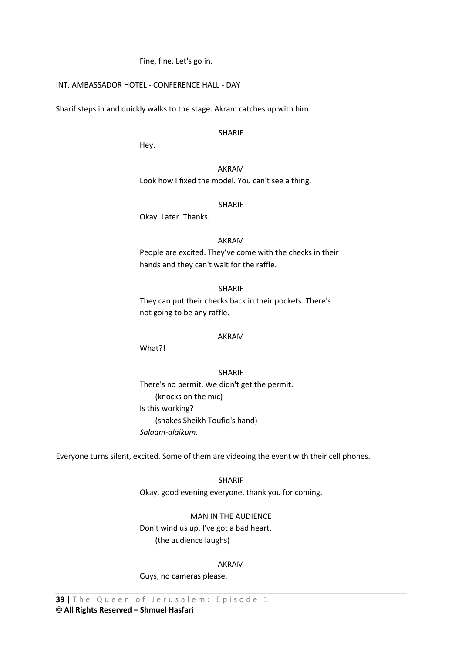Fine, fine. Let's go in.

#### INT. AMBASSADOR HOTEL - CONFERENCE HALL - DAY

Sharif steps in and quickly walks to the stage. Akram catches up with him.

#### SHARIF

Hey.

AKRAM Look how I fixed the model. You can't see a thing.

#### SHARIF

Okay. Later. Thanks.

#### AKRAM

People are excited. They've come with the checks in their hands and they can't wait for the raffle.

# SHARIF

They can put their checks back in their pockets. There's not going to be any raffle.

#### AKRAM

What?!

#### SHARIF

 There's no permit. We didn't get the permit. (knocks on the mic) Is this working? (shakes Sheikh Toufiq's hand) *Salaam-alaikum*.

Everyone turns silent, excited. Some of them are videoing the event with their cell phones.

SHARIF Okay, good evening everyone, thank you for coming.

### MAN IN THE AUDIENCE

 Don't wind us up. I've got a bad heart. (the audience laughs)

### AKRAM

Guys, no cameras please.

**39** | The Queen of Jerusalem: Episode 1 **© All Rights Reserved – Shmuel Hasfari**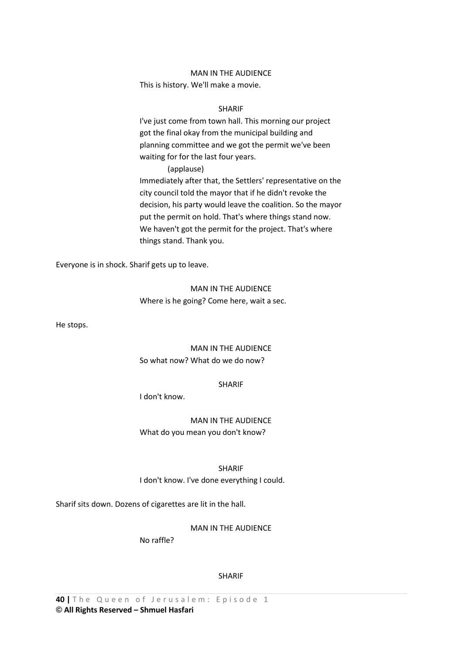### MAN IN THE AUDIENCE

This is history. We'll make a movie.

#### SHARIF

I've just come from town hall. This morning our project got the final okay from the municipal building and planning committee and we got the permit we've been waiting for for the last four years.

### (applause)

Immediately after that, the Settlers' representative on the city council told the mayor that if he didn't revoke the decision, his party would leave the coalition. So the mayor put the permit on hold. That's where things stand now. We haven't got the permit for the project. That's where things stand. Thank you.

Everyone is in shock. Sharif gets up to leave.

# MAN IN THE AUDIENCE Where is he going? Come here, wait a sec.

He stops.

# MAN IN THE AUDIENCE So what now? What do we do now?

### SHARIF

I don't know.

# MAN IN THE AUDIENCE What do you mean you don't know?

#### SHARIF

I don't know. I've done everything I could.

Sharif sits down. Dozens of cigarettes are lit in the hall.

### MAN IN THE AUDIENCE

No raffle?

#### SHARIF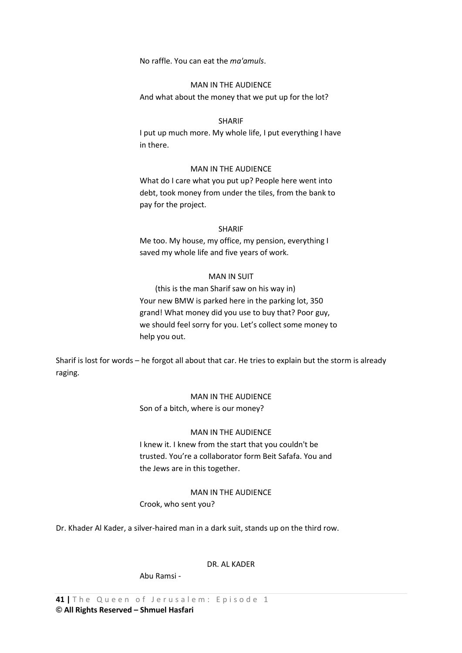No raffle. You can eat the *ma'amuls*.

#### MAN IN THE AUDIENCE

And what about the money that we put up for the lot?

#### SHARIF

I put up much more. My whole life, I put everything I have in there.

# MAN IN THE AUDIENCE

What do I care what you put up? People here went into debt, took money from under the tiles, from the bank to pay for the project.

#### SHARIF

Me too. My house, my office, my pension, everything I saved my whole life and five years of work.

# MAN IN SUIT

 (this is the man Sharif saw on his way in) Your new BMW is parked here in the parking lot, 350 grand! What money did you use to buy that? Poor guy, we should feel sorry for you. Let's collect some money to help you out.

Sharif is lost for words – he forgot all about that car. He tries to explain but the storm is already raging.

# MAN IN THE AUDIENCE Son of a bitch, where is our money?

#### MAN IN THE AUDIENCE

I knew it. I knew from the start that you couldn't be trusted. You're a collaborator form Beit Safafa. You and the Jews are in this together.

### MAN IN THE AUDIENCE

Crook, who sent you?

Dr. Khader Al Kader, a silver-haired man in a dark suit, stands up on the third row.

## DR. AL KADER

Abu Ramsi -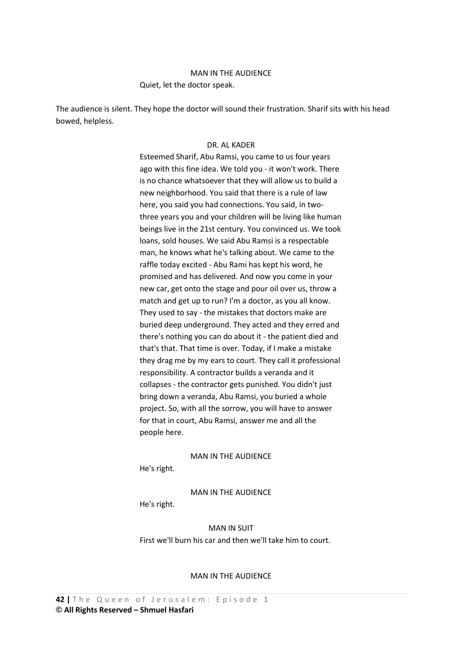### MAN IN THE AUDIENCE

Quiet, let the doctor speak.

The audience is silent. They hope the doctor will sound their frustration. Sharif sits with his head bowed, helpless.

### DR. AL KADER

Esteemed Sharif, Abu Ramsi, you came to us four years ago with this fine idea. We told you - it won't work. There is no chance whatsoever that they will allow us to build a new neighborhood. You said that there is a rule of law here, you said you had connections. You said, in twothree years you and your children will be living like human beings live in the 21st century. You convinced us. We took loans, sold houses. We said Abu Ramsi is a respectable man, he knows what he's talking about. We came to the raffle today excited - Abu Rami has kept his word, he promised and has delivered. And now you come in your new car, get onto the stage and pour oil over us, throw a match and get up to run? I'm a doctor, as you all know. They used to say - the mistakes that doctors make are buried deep underground. They acted and they erred and there's nothing you can do about it - the patient died and that's that. That time is over. Today, if I make a mistake they drag me by my ears to court. They call it professional responsibility. A contractor builds a veranda and it collapses - the contractor gets punished. You didn't just bring down a veranda, Abu Ramsi, you buried a whole project. So, with all the sorrow, you will have to answer for that in court, Abu Ramsi, answer me and all the people here.

#### MAN IN THE AUDIENCE

He's right.

#### MAN IN THE AUDIENCE

He's right.

MAN IN SUIT First we'll burn his car and then we'll take him to court.

#### MAN IN THE AUDIENCE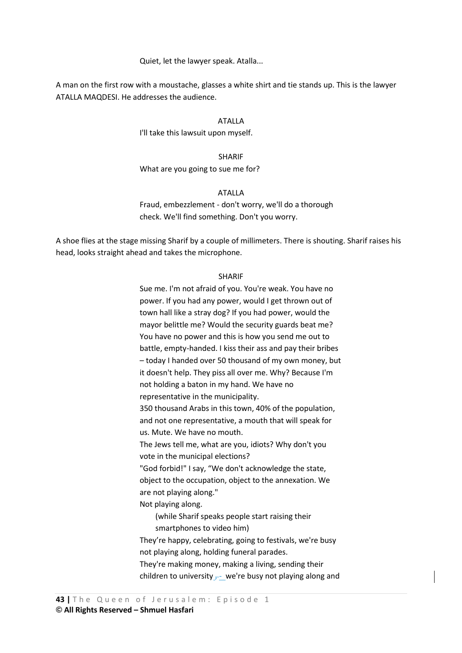### Quiet, let the lawyer speak. Atalla...

A man on the first row with a moustache, glasses a white shirt and tie stands up. This is the lawyer ATALLA MAQDESI. He addresses the audience.

> ATALLA I'll take this lawsuit upon myself.

SHARIF What are you going to sue me for?

## ATALLA

Fraud, embezzlement - don't worry, we'll do a thorough check. We'll find something. Don't you worry.

A shoe flies at the stage missing Sharif by a couple of millimeters. There is shouting. Sharif raises his head, looks straight ahead and takes the microphone.

#### SHARIF

Sue me. I'm not afraid of you. You're weak. You have no power. If you had any power, would I get thrown out of town hall like a stray dog? If you had power, would the mayor belittle me? Would the security guards beat me? You have no power and this is how you send me out to battle, empty-handed. I kiss their ass and pay their bribes – today I handed over 50 thousand of my own money, but it doesn't help. They piss all over me. Why? Because I'm not holding a baton in my hand. We have no representative in the municipality. 350 thousand Arabs in this town, 40% of the population, and not one representative, a mouth that will speak for us. Mute. We have no mouth. The Jews tell me, what are you, idiots? Why don't you vote in the municipal elections? "God forbid!" I say, "We don't acknowledge the state, object to the occupation, object to the annexation. We are not playing along." Not playing along. (while Sharif speaks people start raising their smartphones to video him) They're happy, celebrating, going to festivals, we're busy not playing along, holding funeral parades. They're making money, making a living, sending their children to university $_{7}$ -we're busy not playing along and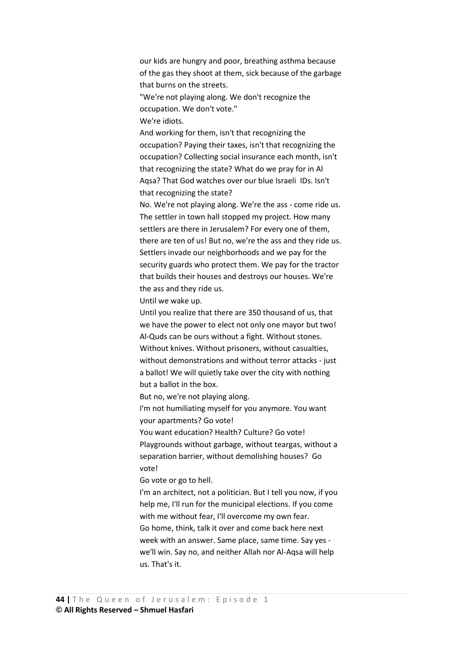our kids are hungry and poor, breathing asthma because of the gas they shoot at them, sick because of the garbage that burns on the streets.

"We're not playing along. We don't recognize the occupation. We don't vote."

We're idiots.

And working for them, isn't that recognizing the occupation? Paying their taxes, isn't that recognizing the occupation? Collecting social insurance each month, isn't that recognizing the state? What do we pray for in Al Aqsa? That God watches over our blue Israeli IDs. Isn't that recognizing the state?

No. We're not playing along. We're the ass - come ride us. The settler in town hall stopped my project. How many settlers are there in Jerusalem? For every one of them, there are ten of us! But no, we're the ass and they ride us. Settlers invade our neighborhoods and we pay for the security guards who protect them. We pay for the tractor that builds their houses and destroys our houses. We're the ass and they ride us.

Until we wake up.

Until you realize that there are 350 thousand of us, that we have the power to elect not only one mayor but two! Al-Quds can be ours without a fight. Without stones. Without knives. Without prisoners, without casualties, without demonstrations and without terror attacks - just a ballot! We will quietly take over the city with nothing but a ballot in the box.

But no, we're not playing along.

I'm not humiliating myself for you anymore. You want your apartments? Go vote!

You want education? Health? Culture? Go vote!

Playgrounds without garbage, without teargas, without a separation barrier, without demolishing houses? Go vote!

Go vote or go to hell.

I'm an architect, not a politician. But I tell you now, if you help me, I'll run for the municipal elections. If you come with me without fear, I'll overcome my own fear. Go home, think, talk it over and come back here next week with an answer. Same place, same time. Say yes we'll win. Say no, and neither Allah nor Al-Aqsa will help us. That's it.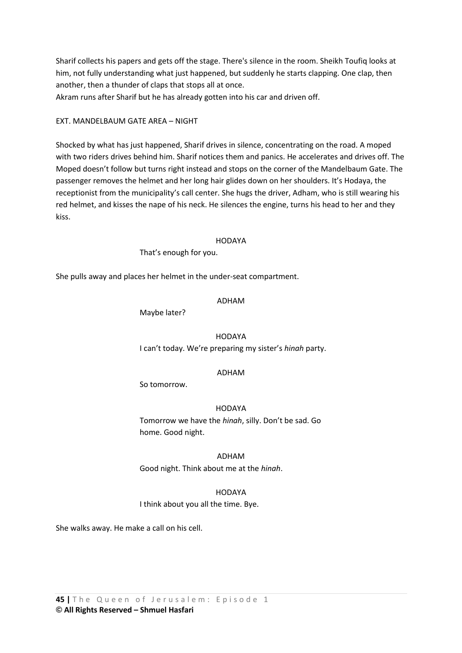Sharif collects his papers and gets off the stage. There's silence in the room. Sheikh Toufiq looks at him, not fully understanding what just happened, but suddenly he starts clapping. One clap, then another, then a thunder of claps that stops all at once.

Akram runs after Sharif but he has already gotten into his car and driven off.

## EXT. MANDELBAUM GATE AREA – NIGHT

Shocked by what has just happened, Sharif drives in silence, concentrating on the road. A moped with two riders drives behind him. Sharif notices them and panics. He accelerates and drives off. The Moped doesn't follow but turns right instead and stops on the corner of the Mandelbaum Gate. The passenger removes the helmet and her long hair glides down on her shoulders. It's Hodaya, the receptionist from the municipality's call center. She hugs the driver, Adham, who is still wearing his red helmet, and kisses the nape of his neck. He silences the engine, turns his head to her and they kiss.

### HODAYA

That's enough for you.

She pulls away and places her helmet in the under-seat compartment.

# ADHAM

Maybe later?

# HODAYA

I can't today. We're preparing my sister's *hinah* party.

### ADHAM

So tomorrow.

# HODAYA

Tomorrow we have the *hinah*, silly. Don't be sad. Go home. Good night.

### ADHAM

Good night. Think about me at the *hinah*.

# HODAYA

I think about you all the time. Bye.

She walks away. He make a call on his cell.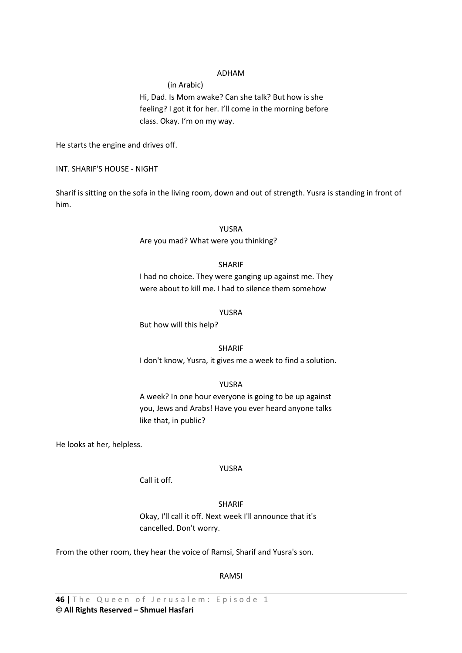### ADHAM

(in Arabic)

Hi, Dad. Is Mom awake? Can she talk? But how is she feeling? I got it for her. I'll come in the morning before class. Okay. I'm on my way.

He starts the engine and drives off.

INT. SHARIF'S HOUSE - NIGHT

Sharif is sitting on the sofa in the living room, down and out of strength. Yusra is standing in front of him.

> YUSRA Are you mad? What were you thinking?

> > SHARIF

I had no choice. They were ganging up against me. They were about to kill me. I had to silence them somehow

# **YUSRA**

But how will this help?

# SHARIF

I don't know, Yusra, it gives me a week to find a solution.

# YUSRA

A week? In one hour everyone is going to be up against you, Jews and Arabs! Have you ever heard anyone talks like that, in public?

He looks at her, helpless.

### YUSRA

Call it off.

# SHARIF

Okay, I'll call it off. Next week I'll announce that it's cancelled. Don't worry.

From the other room, they hear the voice of Ramsi, Sharif and Yusra's son.

# RAMSI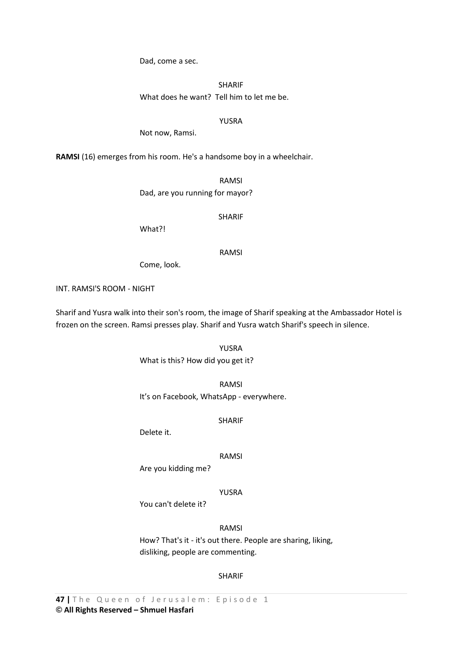Dad, come a sec.

SHARIF

What does he want? Tell him to let me be.

### YUSRA

Not now, Ramsi.

**RAMSI** (16) emerges from his room. He's a handsome boy in a wheelchair.

RAMSI Dad, are you running for mayor?

SHARIF

What?!

RAMSI

Come, look.

INT. RAMSI'S ROOM - NIGHT

Sharif and Yusra walk into their son's room, the image of Sharif speaking at the Ambassador Hotel is frozen on the screen. Ramsi presses play. Sharif and Yusra watch Sharif's speech in silence.

YUSRA

What is this? How did you get it?

RAMSI It's on Facebook, WhatsApp - everywhere.

SHARIF

Delete it.

### RAMSI

Are you kidding me?

YUSRA

You can't delete it?

RAMSI

How? That's it - it's out there. People are sharing, liking, disliking, people are commenting.

### SHARIF